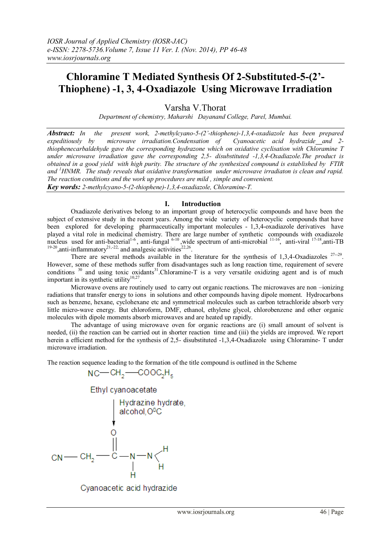# **Chloramine T Mediated Synthesis Of 2-Substituted-5-(2'- Thiophene) -1, 3, 4-Oxadiazole Using Microwave Irradiation**

Varsha V.Thorat

*Department of chemistry, Maharshi Dayanand College, Parel, Mumbai.*

*Abstract: In the present work, 2-methylcyano-5-(2'-thiophene)-1,3,4-oxadiazole has been prepared expeditiously by microwave irradiation.Condensation of Cyanoacetic acid hydrazide and 2 thiophenecarbaldehyde gave the corresponding hydrazone which on oxidative cyclisation with Chloramine T under microwave irradiation gave the corresponding 2,5- disubstituted -1,3,4-Oxadiazole.The product is obtained in a good yield with high purity. The structure of the synthesized compound is established by FTIR and <sup>1</sup>HNMR. The study reveals that oxidative transformation under microwave irradiaton is clean and rapid. The reaction conditions and the work up procedures are mild , simple and convenient. Key words: 2-methylcyano-5-(2-thiophene)-1,3,4-oxadiazole, Chloramine-T.*

### **I. Introduction**

Oxadiazole derivatives belong to an important group of heterocyclic compounds and have been the subject of extensive study in the recent years. Among the wide variety of heterocyclic compounds that have been explored for developing pharmaceutically important molecules - 1,3,4-oxadiazole derivatives have played a vital role in medicinal chemistry. There are large number of synthetic compounds with oxadiazole nucleus used for anti-bacterial<sup>1-6</sup>, anti-fungal <sup>6-10</sup>, wide spectrum of anti-microbial <sup>11-16</sup>, anti-viral <sup>17-18</sup>, anti-TB<br><sup>19-20</sup>, anti-inflammatory<sup>21,-22</sup>, and analgesic activities<sup>22,26</sup>.

There are several methods available in the literature for the synthesis of 1,3,4-Oxadiazoles  $27-29$ . However, some of these methods suffer from disadvantages such as long reaction time, requirement of severe conditions  $30$  and using toxic oxidants<sup>31</sup>. Chloramine-T is a very versatile oxidizing agent and is of much important in its synthetic utility $10,27$ .

Microwave ovens are routinely used to carry out organic reactions. The microwaves are non –ionizing radiations that transfer energy to ions in solutions and other compounds having dipole moment. Hydrocarbons such as benzene, hexane, cyclohexane etc and symmetrical molecules such as carbon tetrachloride absorb very little micro-wave energy. But chloroform, DMF, ethanol, ethylene glycol, chlorobenzene and other organic molecules with dipole moments absorb microwaves and are heated up rapidly.

The advantage of using microwave oven for organic reactions are (i) small amount of solvent is needed, (ii) the reaction can be carried out in shorter reaction time and (iii) the yields are improved. We report herein a efficient method for the synthesis of 2,5- disubstituted -1,3,4-Oxadiazole using Chloramine- T under microwave irradiation.

The reaction sequence leading to the formation of the title compound is outlined in the Scheme

$$
NC\rightarrow CH_{2}\rightarrow COOC_{2}H_{5}
$$



Cyanoacetic acid hydrazide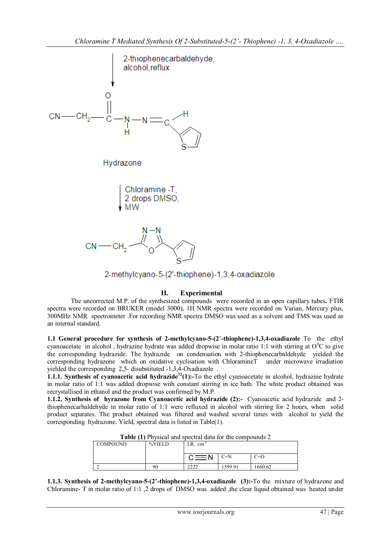

2-methylcyano-5-(2'-thiophene)-1,3,4-oxadiazole

## **II. Experimental**

The uncorrected M.P. of the synthesized compounds were recorded in an open capillary tubes**.** FTIR spectra were recorded on BRUKER (model 3000), 1H NMR spectra were recorded on Varian, Mercury plus, 300MHz NMR spectrometer .For recording NMR spectra DMSO was used as a solvent and TMS was used as an internal standard.

**1.1 General procedure for synthesis of 2-methylcyano-5-(2**'**-thiophene)-1,3,4-oxadiazole** To the ethyl cyanoacetate in alcohol, hydrazine hydrate was added dropwise in molar ratio 1:1 with stirring at  $O^{0}C$  to give the corresponding hydrazide. The hydrazide on condensation with 2-thiophenecarbaldehyde yielded the corresponding hydrazone which on oxidative cyclisation with ChloramineT under microwave irradiation yielded the corresponding 2,5- disubstituted -1,3,4-Oxadiazole .

**1.1.1. Synthesis of cyanoacetic acid hydrazide<sup>32</sup>(1):-To the ethyl cyanoacetate in alcohol, hydrazine hydrate** in molar ratio of 1:1 was added dropwise with constant stirring in ice bath. The white product obtained was recrystallised in ethanol and the product was confirmed by M.P.

**1.1.2. Synthesis of hyrazone from Cyanoacetic acid hydrazide (2):-** Cyanoacetic acid hydrazide and 2 thiophenecarbaldehyde in molar ratio of 1:1 were refluxed in alcohol with stirring for 2 hours, when solid product separates. The product obtained was filtered and washed several times with alcohol to yield the corresponding hydrazone. Yield, spectral data is listed in Table(1).

**Table (1)** Physical and spectral data for the compounds 2

| COMPOUND | %YIELD | $I.R.$ cm <sup>-1</sup> |        |         |
|----------|--------|-------------------------|--------|---------|
|          |        | $-$ N                   | C=N    | C=O     |
| ∼<br>∠   | 90     | າາາາ<br>----            | 599.91 | 1660.62 |

**1.1.3. Synthesis of 2-methylcyano-5-(2'-thiophene)-1,3,4-oxadiazole (3):-**To the mixture of hydrazone and Chloramine- T in molar ratio of 1:1 ,2 drops of DMSO was added ,the clear liquid obtained was heated under